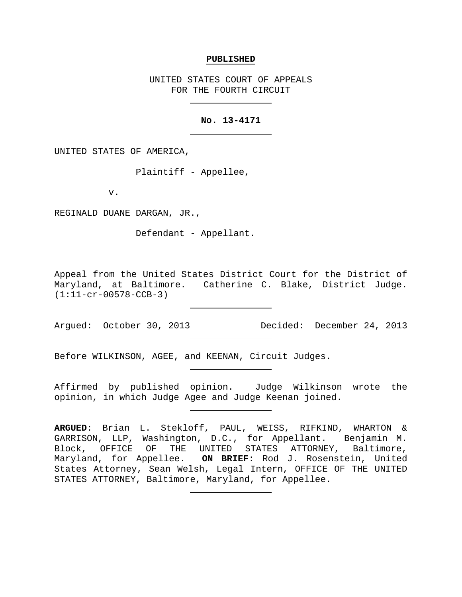#### **PUBLISHED**

UNITED STATES COURT OF APPEALS FOR THE FOURTH CIRCUIT

### **No. 13-4171**

UNITED STATES OF AMERICA,

Plaintiff - Appellee,

v.

REGINALD DUANE DARGAN, JR.,

Defendant - Appellant.

Appeal from the United States District Court for the District of Maryland, at Baltimore. Catherine C. Blake, District Judge. (1:11-cr-00578-CCB-3)

Argued: October 30, 2013 Decided: December 24, 2013

Before WILKINSON, AGEE, and KEENAN, Circuit Judges.

Affirmed by published opinion. Judge Wilkinson wrote the opinion, in which Judge Agee and Judge Keenan joined.

**ARGUED**: Brian L. Stekloff, PAUL, WEISS, RIFKIND, WHARTON & GARRISON, LLP, Washington, D.C., for Appellant. Benjamin M. Block, OFFICE OF THE UNITED STATES ATTORNEY, Baltimore, Maryland, for Appellee. **ON BRIEF**: Rod J. Rosenstein, United States Attorney, Sean Welsh, Legal Intern, OFFICE OF THE UNITED STATES ATTORNEY, Baltimore, Maryland, for Appellee.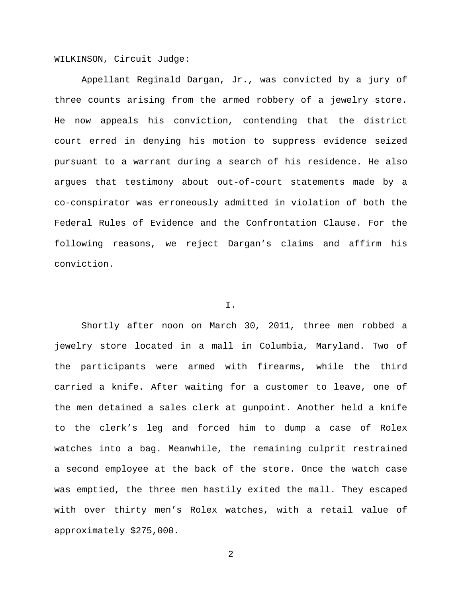WILKINSON, Circuit Judge:

Appellant Reginald Dargan, Jr., was convicted by a jury of three counts arising from the armed robbery of a jewelry store. He now appeals his conviction, contending that the district court erred in denying his motion to suppress evidence seized pursuant to a warrant during a search of his residence. He also argues that testimony about out-of-court statements made by a co-conspirator was erroneously admitted in violation of both the Federal Rules of Evidence and the Confrontation Clause. For the following reasons, we reject Dargan's claims and affirm his conviction.

## I.

Shortly after noon on March 30, 2011, three men robbed a jewelry store located in a mall in Columbia, Maryland. Two of the participants were armed with firearms, while the third carried a knife. After waiting for a customer to leave, one of the men detained a sales clerk at gunpoint. Another held a knife to the clerk's leg and forced him to dump a case of Rolex watches into a bag. Meanwhile, the remaining culprit restrained a second employee at the back of the store. Once the watch case was emptied, the three men hastily exited the mall. They escaped with over thirty men's Rolex watches, with a retail value of approximately \$275,000.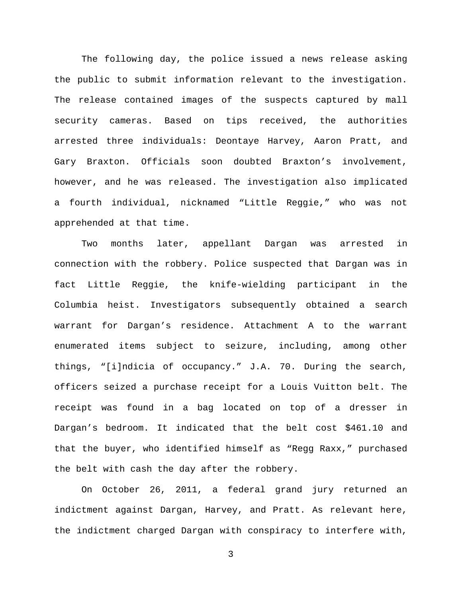The following day, the police issued a news release asking the public to submit information relevant to the investigation. The release contained images of the suspects captured by mall security cameras. Based on tips received, the authorities arrested three individuals: Deontaye Harvey, Aaron Pratt, and Gary Braxton. Officials soon doubted Braxton's involvement, however, and he was released. The investigation also implicated a fourth individual, nicknamed "Little Reggie," who was not apprehended at that time.

Two months later, appellant Dargan was arrested in connection with the robbery. Police suspected that Dargan was in fact Little Reggie, the knife-wielding participant in the Columbia heist. Investigators subsequently obtained a search warrant for Dargan's residence. Attachment A to the warrant enumerated items subject to seizure, including, among other things, "[i]ndicia of occupancy." J.A. 70. During the search, officers seized a purchase receipt for a Louis Vuitton belt. The receipt was found in a bag located on top of a dresser in Dargan's bedroom. It indicated that the belt cost \$461.10 and that the buyer, who identified himself as "Regg Raxx," purchased the belt with cash the day after the robbery.

On October 26, 2011, a federal grand jury returned an indictment against Dargan, Harvey, and Pratt. As relevant here, the indictment charged Dargan with conspiracy to interfere with,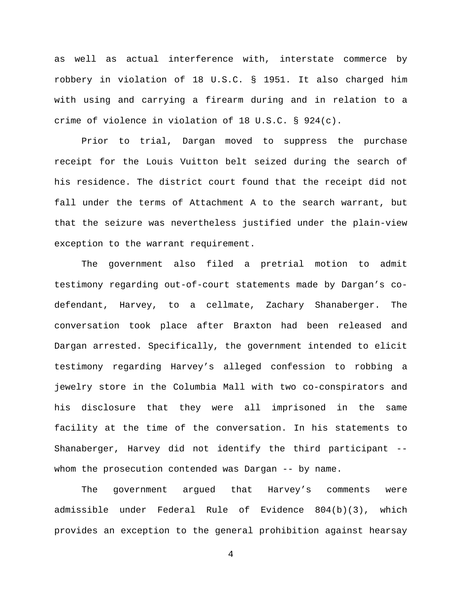as well as actual interference with, interstate commerce by robbery in violation of 18 U.S.C. § 1951. It also charged him with using and carrying a firearm during and in relation to a crime of violence in violation of 18 U.S.C. § 924(c).

Prior to trial, Dargan moved to suppress the purchase receipt for the Louis Vuitton belt seized during the search of his residence. The district court found that the receipt did not fall under the terms of Attachment A to the search warrant, but that the seizure was nevertheless justified under the plain-view exception to the warrant requirement.

The government also filed a pretrial motion to admit testimony regarding out-of-court statements made by Dargan's codefendant, Harvey, to a cellmate, Zachary Shanaberger. The conversation took place after Braxton had been released and Dargan arrested. Specifically, the government intended to elicit testimony regarding Harvey's alleged confession to robbing a jewelry store in the Columbia Mall with two co-conspirators and his disclosure that they were all imprisoned in the same facility at the time of the conversation. In his statements to Shanaberger, Harvey did not identify the third participant - whom the prosecution contended was Dargan -- by name.

The government argued that Harvey's comments were admissible under Federal Rule of Evidence 804(b)(3), which provides an exception to the general prohibition against hearsay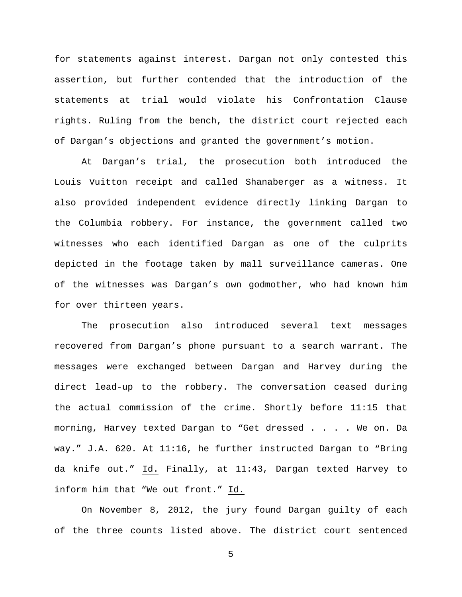for statements against interest. Dargan not only contested this assertion, but further contended that the introduction of the statements at trial would violate his Confrontation Clause rights. Ruling from the bench, the district court rejected each of Dargan's objections and granted the government's motion.

At Dargan's trial, the prosecution both introduced the Louis Vuitton receipt and called Shanaberger as a witness. It also provided independent evidence directly linking Dargan to the Columbia robbery. For instance, the government called two witnesses who each identified Dargan as one of the culprits depicted in the footage taken by mall surveillance cameras. One of the witnesses was Dargan's own godmother, who had known him for over thirteen years.

The prosecution also introduced several text messages recovered from Dargan's phone pursuant to a search warrant. The messages were exchanged between Dargan and Harvey during the direct lead-up to the robbery. The conversation ceased during the actual commission of the crime. Shortly before 11:15 that morning, Harvey texted Dargan to "Get dressed . . . . We on. Da way." J.A. 620. At 11:16, he further instructed Dargan to "Bring da knife out." Id. Finally, at 11:43, Dargan texted Harvey to inform him that "We out front." Id.

On November 8, 2012, the jury found Dargan guilty of each of the three counts listed above. The district court sentenced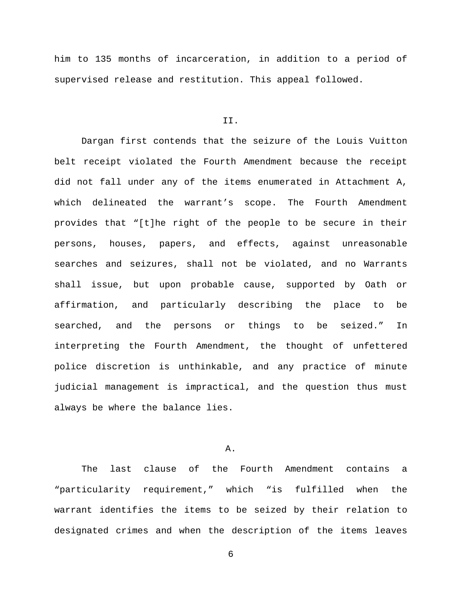him to 135 months of incarceration, in addition to a period of supervised release and restitution. This appeal followed.

### II.

Dargan first contends that the seizure of the Louis Vuitton belt receipt violated the Fourth Amendment because the receipt did not fall under any of the items enumerated in Attachment A, which delineated the warrant's scope. The Fourth Amendment provides that "[t]he right of the people to be secure in their persons, houses, papers, and effects, against unreasonable searches and seizures, shall not be violated, and no Warrants shall issue, but upon probable cause, supported by Oath or affirmation, and particularly describing the place to be searched, and the persons or things to be seized." In interpreting the Fourth Amendment, the thought of unfettered police discretion is unthinkable, and any practice of minute judicial management is impractical, and the question thus must always be where the balance lies.

A.

The last clause of the Fourth Amendment contains a "particularity requirement," which "is fulfilled when the warrant identifies the items to be seized by their relation to designated crimes and when the description of the items leaves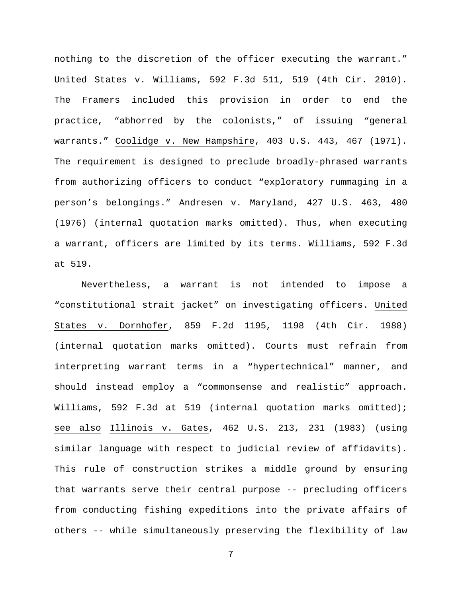nothing to the discretion of the officer executing the warrant." United States v. Williams, 592 F.3d 511, 519 (4th Cir. 2010). The Framers included this provision in order to end the practice, "abhorred by the colonists," of issuing "general warrants." Coolidge v. New Hampshire, 403 U.S. 443, 467 (1971). The requirement is designed to preclude broadly-phrased warrants from authorizing officers to conduct "exploratory rummaging in a person's belongings." Andresen v. Maryland, 427 U.S. 463, 480 (1976) (internal quotation marks omitted). Thus, when executing a warrant, officers are limited by its terms. Williams, 592 F.3d at 519.

Nevertheless, a warrant is not intended to impose a "constitutional strait jacket" on investigating officers. United States v. Dornhofer, 859 F.2d 1195, 1198 (4th Cir. 1988) (internal quotation marks omitted). Courts must refrain from interpreting warrant terms in a "hypertechnical" manner, and should instead employ a "commonsense and realistic" approach. Williams, 592 F.3d at 519 (internal quotation marks omitted); see also Illinois v. Gates, 462 U.S. 213, 231 (1983) (using similar language with respect to judicial review of affidavits). This rule of construction strikes a middle ground by ensuring that warrants serve their central purpose -- precluding officers from conducting fishing expeditions into the private affairs of others -- while simultaneously preserving the flexibility of law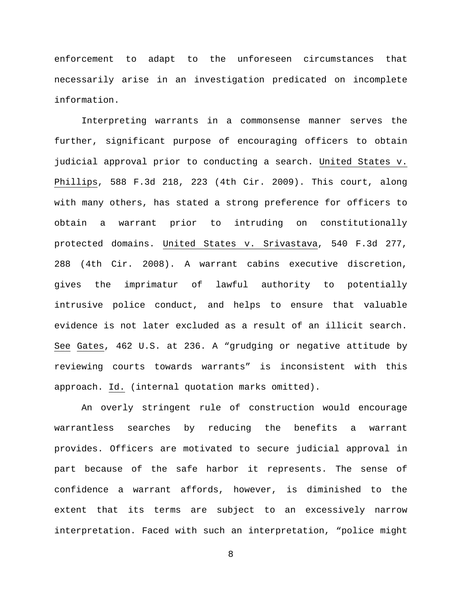enforcement to adapt to the unforeseen circumstances that necessarily arise in an investigation predicated on incomplete information.

Interpreting warrants in a commonsense manner serves the further, significant purpose of encouraging officers to obtain judicial approval prior to conducting a search. United States v. Phillips, 588 F.3d 218, 223 (4th Cir. 2009). This court, along with many others, has stated a strong preference for officers to obtain a warrant prior to intruding on constitutionally protected domains. United States v. Srivastava, 540 F.3d 277, 288 (4th Cir. 2008). A warrant cabins executive discretion, gives the imprimatur of lawful authority to potentially intrusive police conduct, and helps to ensure that valuable evidence is not later excluded as a result of an illicit search. See Gates, 462 U.S. at 236. A "grudging or negative attitude by reviewing courts towards warrants" is inconsistent with this approach. Id. (internal quotation marks omitted).

An overly stringent rule of construction would encourage warrantless searches by reducing the benefits a warrant provides. Officers are motivated to secure judicial approval in part because of the safe harbor it represents. The sense of confidence a warrant affords, however, is diminished to the extent that its terms are subject to an excessively narrow interpretation. Faced with such an interpretation, "police might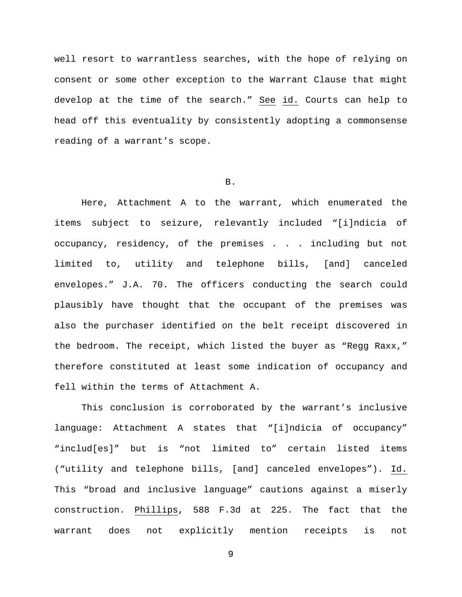well resort to warrantless searches, with the hope of relying on consent or some other exception to the Warrant Clause that might develop at the time of the search." See id. Courts can help to head off this eventuality by consistently adopting a commonsense reading of a warrant's scope.

B.

Here, Attachment A to the warrant, which enumerated the items subject to seizure, relevantly included "[i]ndicia of occupancy, residency, of the premises . . . including but not limited to, utility and telephone bills, [and] canceled envelopes." J.A. 70. The officers conducting the search could plausibly have thought that the occupant of the premises was also the purchaser identified on the belt receipt discovered in the bedroom. The receipt, which listed the buyer as "Regg Raxx," therefore constituted at least some indication of occupancy and fell within the terms of Attachment A.

This conclusion is corroborated by the warrant's inclusive language: Attachment A states that "[i]ndicia of occupancy" "includ[es]" but is "not limited to" certain listed items ("utility and telephone bills, [and] canceled envelopes"). Id. This "broad and inclusive language" cautions against a miserly construction. Phillips, 588 F.3d at 225. The fact that the warrant does not explicitly mention receipts is not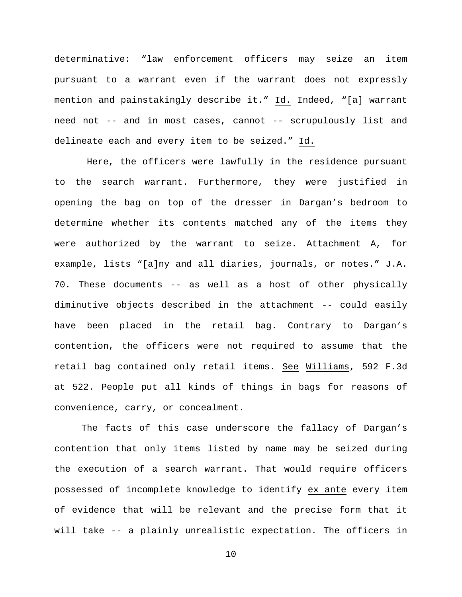determinative: "law enforcement officers may seize an item pursuant to a warrant even if the warrant does not expressly mention and painstakingly describe it." Id. Indeed, "[a] warrant need not -- and in most cases, cannot -- scrupulously list and delineate each and every item to be seized." Id.

Here, the officers were lawfully in the residence pursuant to the search warrant. Furthermore, they were justified in opening the bag on top of the dresser in Dargan's bedroom to determine whether its contents matched any of the items they were authorized by the warrant to seize. Attachment A, for example, lists "[a]ny and all diaries, journals, or notes." J.A. 70. These documents -- as well as a host of other physically diminutive objects described in the attachment -- could easily have been placed in the retail bag. Contrary to Dargan's contention, the officers were not required to assume that the retail bag contained only retail items. See Williams, 592 F.3d at 522. People put all kinds of things in bags for reasons of convenience, carry, or concealment.

The facts of this case underscore the fallacy of Dargan's contention that only items listed by name may be seized during the execution of a search warrant. That would require officers possessed of incomplete knowledge to identify ex ante every item of evidence that will be relevant and the precise form that it will take -- a plainly unrealistic expectation. The officers in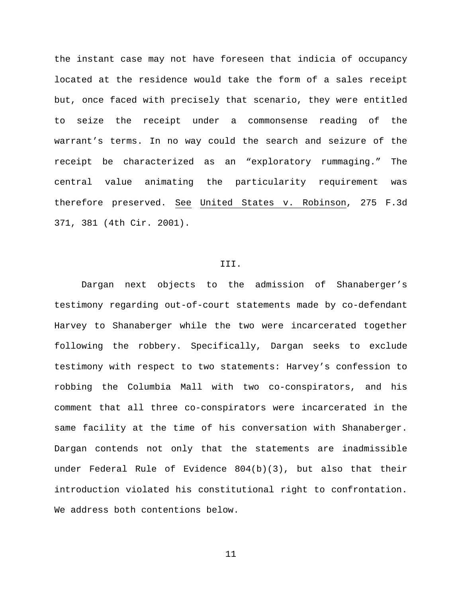the instant case may not have foreseen that indicia of occupancy located at the residence would take the form of a sales receipt but, once faced with precisely that scenario, they were entitled to seize the receipt under a commonsense reading of the warrant's terms. In no way could the search and seizure of the receipt be characterized as an "exploratory rummaging." The central value animating the particularity requirement was therefore preserved. See United States v. Robinson, 275 F.3d 371, 381 (4th Cir. 2001).

# III.

Dargan next objects to the admission of Shanaberger's testimony regarding out-of-court statements made by co-defendant Harvey to Shanaberger while the two were incarcerated together following the robbery. Specifically, Dargan seeks to exclude testimony with respect to two statements: Harvey's confession to robbing the Columbia Mall with two co-conspirators, and his comment that all three co-conspirators were incarcerated in the same facility at the time of his conversation with Shanaberger. Dargan contends not only that the statements are inadmissible under Federal Rule of Evidence 804(b)(3), but also that their introduction violated his constitutional right to confrontation. We address both contentions below.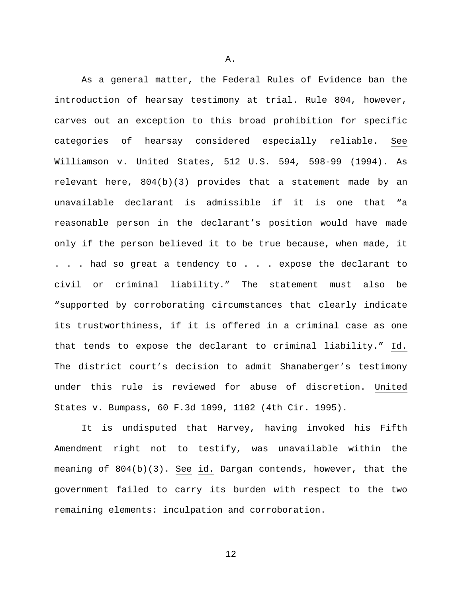As a general matter, the Federal Rules of Evidence ban the introduction of hearsay testimony at trial. Rule 804, however, carves out an exception to this broad prohibition for specific categories of hearsay considered especially reliable. See Williamson v. United States, 512 U.S. 594, 598-99 (1994). As relevant here, 804(b)(3) provides that a statement made by an unavailable declarant is admissible if it is one that "a reasonable person in the declarant's position would have made only if the person believed it to be true because, when made, it . . . had so great a tendency to . . . expose the declarant to civil or criminal liability." The statement must also be "supported by corroborating circumstances that clearly indicate its trustworthiness, if it is offered in a criminal case as one that tends to expose the declarant to criminal liability." Id. The district court's decision to admit Shanaberger's testimony under this rule is reviewed for abuse of discretion. United States v. Bumpass, 60 F.3d 1099, 1102 (4th Cir. 1995).

It is undisputed that Harvey, having invoked his Fifth Amendment right not to testify, was unavailable within the meaning of 804(b)(3). See id. Dargan contends, however, that the government failed to carry its burden with respect to the two remaining elements: inculpation and corroboration.

A.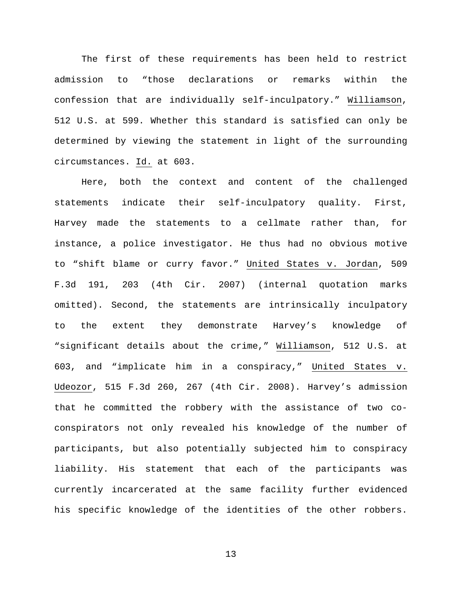The first of these requirements has been held to restrict admission to "those declarations or remarks within the confession that are individually self-inculpatory." Williamson, 512 U.S. at 599. Whether this standard is satisfied can only be determined by viewing the statement in light of the surrounding circumstances. Id. at 603.

Here, both the context and content of the challenged statements indicate their self-inculpatory quality. First, Harvey made the statements to a cellmate rather than, for instance, a police investigator. He thus had no obvious motive to "shift blame or curry favor." United States v. Jordan, 509 F.3d 191, 203 (4th Cir. 2007) (internal quotation marks omitted). Second, the statements are intrinsically inculpatory to the extent they demonstrate Harvey's knowledge of "significant details about the crime," Williamson, 512 U.S. at 603, and "implicate him in a conspiracy," United States v. Udeozor, 515 F.3d 260, 267 (4th Cir. 2008). Harvey's admission that he committed the robbery with the assistance of two coconspirators not only revealed his knowledge of the number of participants, but also potentially subjected him to conspiracy liability. His statement that each of the participants was currently incarcerated at the same facility further evidenced his specific knowledge of the identities of the other robbers.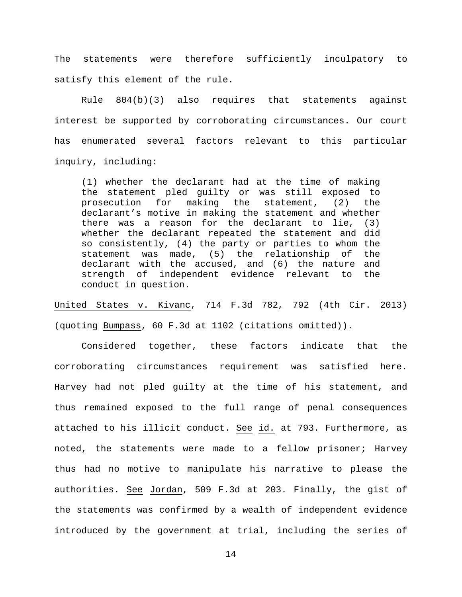The statements were therefore sufficiently inculpatory to satisfy this element of the rule.

Rule  $804(b)(3)$  also requires that statements against interest be supported by corroborating circumstances. Our court has enumerated several factors relevant to this particular inquiry, including:

(1) whether the declarant had at the time of making the statement pled guilty or was still exposed to prosecution for making the statement, (2) the declarant's motive in making the statement and whether there was a reason for the declarant to lie, (3) whether the declarant repeated the statement and did so consistently, (4) the party or parties to whom the statement was made, (5) the relationship of the declarant with the accused, and (6) the nature and strength of independent evidence relevant to the conduct in question.

United States v. Kivanc, 714 F.3d 782, 792 (4th Cir. 2013) (quoting Bumpass, 60 F.3d at 1102 (citations omitted)).

Considered together, these factors indicate that the corroborating circumstances requirement was satisfied here. Harvey had not pled guilty at the time of his statement, and thus remained exposed to the full range of penal consequences attached to his illicit conduct. See id. at 793. Furthermore, as noted, the statements were made to a fellow prisoner; Harvey thus had no motive to manipulate his narrative to please the authorities. See Jordan, 509 F.3d at 203. Finally, the gist of the statements was confirmed by a wealth of independent evidence introduced by the government at trial, including the series of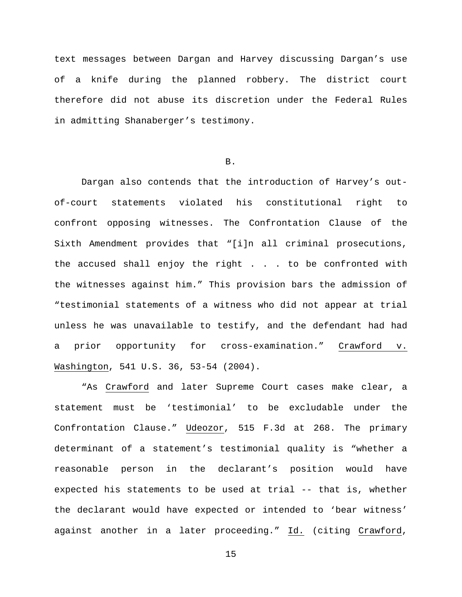text messages between Dargan and Harvey discussing Dargan's use of a knife during the planned robbery. The district court therefore did not abuse its discretion under the Federal Rules in admitting Shanaberger's testimony.

### B.

Dargan also contends that the introduction of Harvey's outof-court statements violated his constitutional right to confront opposing witnesses. The Confrontation Clause of the Sixth Amendment provides that "[i]n all criminal prosecutions, the accused shall enjoy the right . . . to be confronted with the witnesses against him." This provision bars the admission of "testimonial statements of a witness who did not appear at trial unless he was unavailable to testify, and the defendant had had a prior opportunity for cross-examination." Crawford v. Washington, 541 U.S. 36, 53-54 (2004).

"As Crawford and later Supreme Court cases make clear, a statement must be 'testimonial' to be excludable under the Confrontation Clause." Udeozor, 515 F.3d at 268. The primary determinant of a statement's testimonial quality is "whether a reasonable person in the declarant's position would have expected his statements to be used at trial -- that is, whether the declarant would have expected or intended to 'bear witness' against another in a later proceeding." Id. (citing Crawford,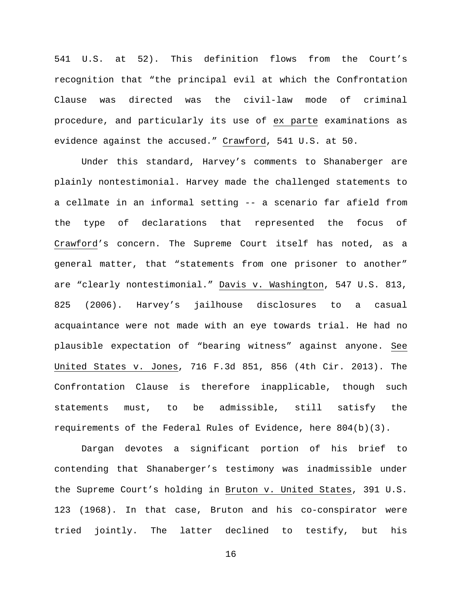541 U.S. at 52). This definition flows from the Court's recognition that "the principal evil at which the Confrontation Clause was directed was the civil-law mode of criminal procedure, and particularly its use of ex parte examinations as evidence against the accused." Crawford, 541 U.S. at 50.

Under this standard, Harvey's comments to Shanaberger are plainly nontestimonial. Harvey made the challenged statements to a cellmate in an informal setting -- a scenario far afield from the type of declarations that represented the focus of Crawford's concern. The Supreme Court itself has noted, as a general matter, that "statements from one prisoner to another" are "clearly nontestimonial." Davis v. Washington, 547 U.S. 813, 825 (2006). Harvey's jailhouse disclosures to a casual acquaintance were not made with an eye towards trial. He had no plausible expectation of "bearing witness" against anyone. See United States v. Jones, 716 F.3d 851, 856 (4th Cir. 2013). The Confrontation Clause is therefore inapplicable, though such statements must, to be admissible, still satisfy the requirements of the Federal Rules of Evidence, here 804(b)(3).

Dargan devotes a significant portion of his brief to contending that Shanaberger's testimony was inadmissible under the Supreme Court's holding in Bruton v. United States, 391 U.S. 123 (1968). In that case, Bruton and his co-conspirator were tried jointly. The latter declined to testify, but his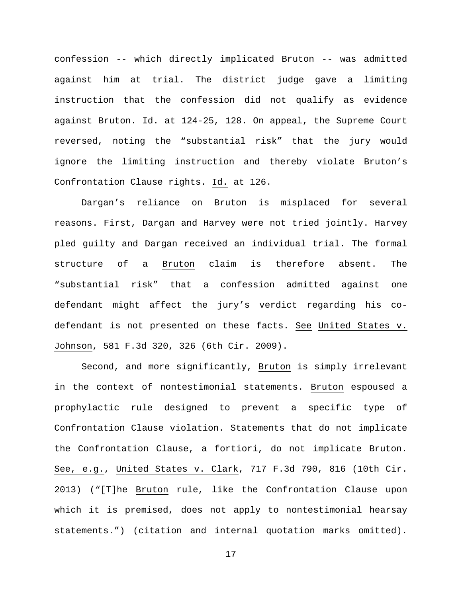confession -- which directly implicated Bruton -- was admitted against him at trial. The district judge gave a limiting instruction that the confession did not qualify as evidence against Bruton. Id. at 124-25, 128. On appeal, the Supreme Court reversed, noting the "substantial risk" that the jury would ignore the limiting instruction and thereby violate Bruton's Confrontation Clause rights. Id. at 126.

Dargan's reliance on Bruton is misplaced for several reasons. First, Dargan and Harvey were not tried jointly. Harvey pled guilty and Dargan received an individual trial. The formal structure of a Bruton claim is therefore absent. The "substantial risk" that a confession admitted against one defendant might affect the jury's verdict regarding his codefendant is not presented on these facts. See United States v. Johnson, 581 F.3d 320, 326 (6th Cir. 2009).

Second, and more significantly, Bruton is simply irrelevant in the context of nontestimonial statements. Bruton espoused a prophylactic rule designed to prevent a specific type of Confrontation Clause violation. Statements that do not implicate the Confrontation Clause, a fortiori, do not implicate Bruton. See, e.g., United States v. Clark, 717 F.3d 790, 816 (10th Cir. 2013) ("[T]he Bruton rule, like the Confrontation Clause upon which it is premised, does not apply to nontestimonial hearsay statements.") (citation and internal quotation marks omitted).